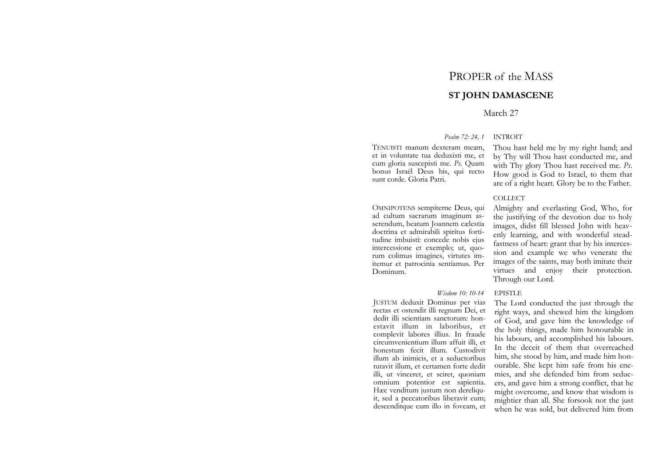# PROPER of the MASS

# **ST JOHN DAMASCENE**

# March 27

### *Psalm 72: 24, 1* INTROIT

TENUISTI manum dexteram meam, et in voluntate tua deduxisti me, et cum gloria suscepisti me. *Ps*. Quam bonus Israël Deus his, qui recto sunt corde. Gloria Patri.

OMNIPOTENS sempiterne Deus, qui ad cultum sacrarum imaginum asserendum, beatum Joannem cælestia doctrina et admirabili spiritus fortitudine imbuisti: concede nobis ejus intercessione et exemplo; ut, quorum colimus imagines, virtutes imitemur et patrocinia sentiamus. Per Dominum.

Thou hast held me by my right hand; and by Thy will Thou hast conducted me, and with Thy glory Thou hast received me. *Ps*. How good is God to Israel, to them that are of a right heart. Glory be to the Father.

# COLLECT

Almighty and everlasting God, Who, for the justifying of the devotion due to holy images, didst fill blessed John with heavenly learning, and with wonderful steadfastness of heart: grant that by his intercession and example we who venerate the images of the saints, may both imitate their virtues and enjoy their protection. Through our Lord.

#### *Wisdom 10: 10-14* **EPISTLE**

JUSTUM deduxit Dominus per vias rectas et ostendit illi regnum Dei, et dedit illi scientiam sanctorum: honestavit illum in laboribus, et complevit labores illius. In fraude circumvenientium illum affuit illi, et honestum fecit illum. Custodivit illum ab inimicis, et a seductoribus tutavit illum, et certamen forte dedit illi, ut vinceret, et sciret, quoniam omnium potentior est sapientia. Hæc venditum justum non dereliquit, sed a peccatoribus liberavit eum; descenditque cum illo in foveam, et The Lord conducted the just through the right ways, and shewed him the kingdom of God, and gave him the knowledge of the holy things, made him honourable in his labours, and accomplished his labours. In the deceit of them that overreached him, she stood by him, and made him honourable. She kept him safe from his enemies, and she defended him from seducers, and gave him a strong conflict, that he might overcome, and know that wisdom is mightier than all. She forsook not the just when he was sold, but delivered him from